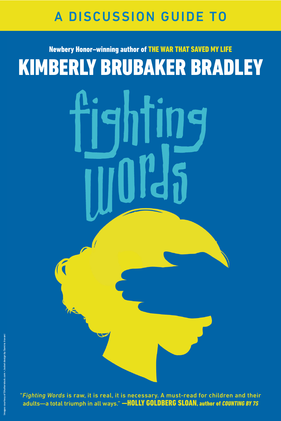### A DISCUSSION GUIDE TO

# Newbery Honor–winning author of THE WAR THAT SAVED MY LIFE KIMBERLY BRUBAKER BRADLEY

"*Fighting Words* is raw, it is real, it is necessary. A must-read for children and their adults—a total triumph in all ways." —HOLLY GOLDBERG SLOAN, author of *COUNTING BY 7S*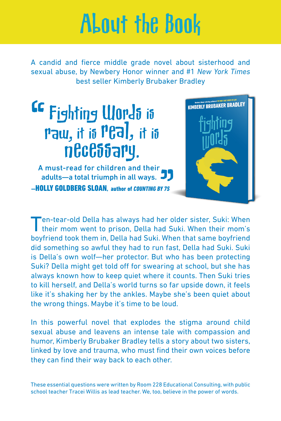# About the Book

A candid and fierce middle grade novel about sisterhood and sexual abuse, by Newbery Honor winner and #1 *New York Times* best seller Kimberly Brubaker Bradley

## Fighting Words is Paw, it is Peal, it is necessary.

A must-read for children and their adults—a total triumph in all ways. J —HOLLY GOLDBERG SLOAN, author of *COUNTING BY 7S*



Ten-tear-old Della has always had her older sister, Suki: When their mom went to prison, Della had Suki. When their mom's boyfriend took them in, Della had Suki. When that same boyfriend did something so awful they had to run fast, Della had Suki. Suki is Della's own wolf—her protector. But who has been protecting Suki? Della might get told off for swearing at school, but she has always known how to keep quiet where it counts. Then Suki tries to kill herself, and Della's world turns so far upside down, it feels like it's shaking her by the ankles. Maybe she's been quiet about the wrong things. Maybe it's time to be loud.

In this powerful novel that explodes the stigma around child sexual abuse and leavens an intense tale with compassion and humor, Kimberly Brubaker Bradley tells a story about two sisters, linked by love and trauma, who must find their own voices before they can find their way back to each other.

These essential questions were written by Room 228 Educational Consulting, with public school teacher Tracei Willis as lead teacher. We, too, believe in the power of words.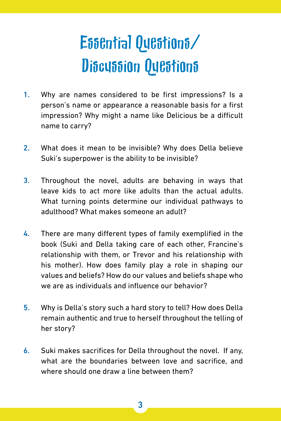# Essential Questions/ Discussion Questions

- 1. Why are names considered to be first impressions? Is a person's name or appearance a reasonable basis for a first impression? Why might a name like Delicious be a difficult name to carry?
- 2. What does it mean to be invisible? Why does Della believe Suki's superpower is the ability to be invisible?
- 3. Throughout the novel, adults are behaving in ways that leave kids to act more like adults than the actual adults. What turning points determine our individual pathways to adulthood? What makes someone an adult?
- 4. There are many different types of family exemplified in the book (Suki and Della taking care of each other, Francine's relationship with them, or Trevor and his relationship with his mother). How does family play a role in shaping our values and beliefs? How do our values and beliefs shape who we are as individuals and influence our behavior?
- 5. Why is Della's story such a hard story to tell? How does Della remain authentic and true to herself throughout the telling of her story?
- 6. Suki makes sacrifices for Della throughout the novel. If any, what are the boundaries between love and sacrifice, and where should one draw a line between them?

3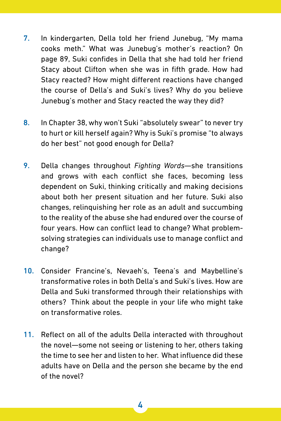- 7. In kindergarten, Della told her friend Junebug, "My mama cooks meth." What was Junebug's mother's reaction? On page 89, Suki confides in Della that she had told her friend Stacy about Clifton when she was in fifth grade. How had Stacy reacted? How might different reactions have changed the course of Della's and Suki's lives? Why do you believe Junebug's mother and Stacy reacted the way they did?
- 8. In Chapter 38, why won't Suki "absolutely swear" to never try to hurt or kill herself again? Why is Suki's promise "to always do her best" not good enough for Della?
- 9. Della changes throughout *Fighting Words*—she transitions and grows with each conflict she faces, becoming less dependent on Suki, thinking critically and making decisions about both her present situation and her future. Suki also changes, relinquishing her role as an adult and succumbing to the reality of the abuse she had endured over the course of four years. How can conflict lead to change? What problemsolving strategies can individuals use to manage conflict and change?
- 10. Consider Francine's, Nevaeh's, Teena's and Maybelline's transformative roles in both Della's and Suki's lives. How are Della and Suki transformed through their relationships with others? Think about the people in your life who might take on transformative roles.
- 11. Reflect on all of the adults Della interacted with throughout the novel—some not seeing or listening to her, others taking the time to see her and listen to her. What influence did these adults have on Della and the person she became by the end of the novel?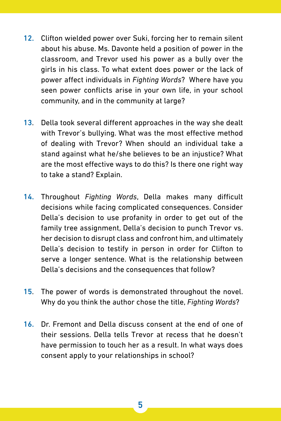- 12. Clifton wielded power over Suki, forcing her to remain silent about his abuse. Ms. Davonte held a position of power in the classroom, and Trevor used his power as a bully over the girls in his class. To what extent does power or the lack of power affect individuals in *Fighting Words*? Where have you seen power conflicts arise in your own life, in your school community, and in the community at large?
- 13. Della took several different approaches in the way she dealt with Trevor's bullying. What was the most effective method of dealing with Trevor? When should an individual take a stand against what he/she believes to be an injustice? What are the most effective ways to do this? Is there one right way to take a stand? Explain.
- 14. Throughout *Fighting Words*, Della makes many difficult decisions while facing complicated consequences. Consider Della's decision to use profanity in order to get out of the family tree assignment, Della's decision to punch Trevor vs. her decision to disrupt class and confront him, and ultimately Della's decision to testify in person in order for Clifton to serve a longer sentence. What is the relationship between Della's decisions and the consequences that follow?
- 15. The power of words is demonstrated throughout the novel. Why do you think the author chose the title, *Fighting Words*?
- 16. Dr. Fremont and Della discuss consent at the end of one of their sessions. Della tells Trevor at recess that he doesn't have permission to touch her as a result. In what ways does consent apply to your relationships in school?

5